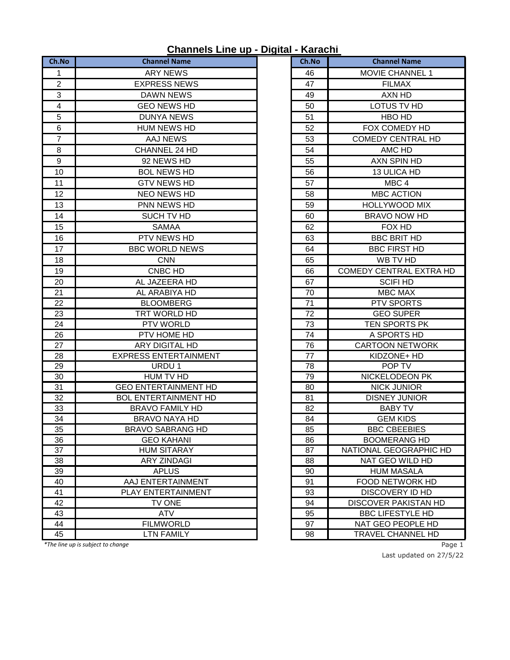## **Channels Line up - Digital - Karachi**

| Ch.No                   | <b>Channel Name</b>          | Ch.No | <b>Channel Name</b>         |
|-------------------------|------------------------------|-------|-----------------------------|
| 1                       | <b>ARY NEWS</b>              | 46    | <b>MOVIE CHANNEL 1</b>      |
| $\boldsymbol{2}$        | <b>EXPRESS NEWS</b>          | 47    | <b>FILMAX</b>               |
| 3                       | <b>DAWN NEWS</b>             | 49    | AXN HD                      |
| $\overline{\mathbf{4}}$ | <b>GEO NEWS HD</b>           | 50    | LOTUS TV HD                 |
| 5                       | <b>DUNYA NEWS</b>            | 51    | HBO HD                      |
| $\,6$                   | <b>HUM NEWS HD</b>           | 52    | FOX COMEDY HD               |
| $\overline{7}$          | <b>AAJ NEWS</b>              | 53    | <b>COMEDY CENTRAL HD</b>    |
| 8                       | CHANNEL 24 HD                | 54    | AMC HD                      |
| $\boldsymbol{9}$        | 92 NEWS HD                   | 55    | AXN SPIN HD                 |
| 10                      | <b>BOL NEWS HD</b>           | 56    | 13 ULICA HD                 |
| 11                      | <b>GTV NEWS HD</b>           | 57    | MBC <sub>4</sub>            |
| 12                      | NEO NEWS HD                  | 58    | <b>MBC ACTION</b>           |
| 13                      | PNN NEWS HD                  | 59    | <b>HOLLYWOOD MIX</b>        |
| 14                      | SUCH TV HD                   | 60    | <b>BRAVO NOW HD</b>         |
| 15                      | <b>SAMAA</b>                 | 62    | FOX HD                      |
| 16                      | PTV NEWS HD                  | 63    | <b>BBC BRIT HD</b>          |
| 17                      | <b>BBC WORLD NEWS</b>        | 64    | <b>BBC FIRST HD</b>         |
| 18                      | <b>CNN</b>                   | 65    | WB TV HD                    |
| 19                      | CNBC HD                      | 66    | COMEDY CENTRAL EXTRA HD     |
| 20                      | AL JAZEERA HD                | 67    | <b>SCIFI HD</b>             |
| 21                      | AL ARABIYA HD                | 70    | MBC MAX                     |
| 22                      | <b>BLOOMBERG</b>             | 71    | PTV SPORTS                  |
| 23                      | TRT WORLD HD                 | 72    | <b>GEO SUPER</b>            |
| 24                      | PTV WORLD                    | 73    | TEN SPORTS PK               |
| 26                      | PTV HOME HD                  | 74    | A SPORTS HD                 |
| 27                      | ARY DIGITAL HD               | 76    | <b>CARTOON NETWORK</b>      |
| 28                      | <b>EXPRESS ENTERTAINMENT</b> | 77    | KIDZONE+ HD                 |
| 29                      | URDU 1                       | 78    | POP TV                      |
| 30                      | HUM TV HD                    | 79    | NICKELODEON PK              |
| 31                      | <b>GEO ENTERTAINMENT HD</b>  | 80    | <b>NICK JUNIOR</b>          |
| 32                      | <b>BOL ENTERTAINMENT HD</b>  | 81    | <b>DISNEY JUNIOR</b>        |
| 33                      | <b>BRAVO FAMILY HD</b>       | 82    | <b>BABY TV</b>              |
| 34                      | <b>BRAVO NAYA HD</b>         | 84    | <b>GEM KIDS</b>             |
| 35                      | <b>BRAVO SABRANG HD</b>      | 85    | <b>BBC CBEEBIES</b>         |
| 36                      | <b>GEO KAHANI</b>            | 86    | <b>BOOMERANG HD</b>         |
| 37                      | <b>HUM SITARAY</b>           | 87    | NATIONAL GEOGRAPHIC HD      |
| 38                      | <b>ARY ZINDAGI</b>           | 88    | NAT GEO WILD HD             |
| 39                      | <b>APLUS</b>                 | 90    | <b>HUM MASALA</b>           |
| 40                      | AAJ ENTERTAINMENT            | 91    | <b>FOOD NETWORK HD</b>      |
| 41                      | PLAY ENTERTAINMENT           | 93    | <b>DISCOVERY ID HD</b>      |
| 42                      | TV ONE                       | 94    | <b>DISCOVER PAKISTAN HD</b> |
| 43                      | <b>ATV</b>                   | 95    | <b>BBC LIFESTYLE HD</b>     |
| 44                      | <b>FILMWORLD</b>             | 97    | NAT GEO PEOPLE HD           |
| 45                      | <b>LTN FAMILY</b>            | 98    | TRAVEL CHANNEL HD           |

| Ch.No    | <b>Channel Name</b>                         |  |
|----------|---------------------------------------------|--|
| 46       | <b>MOVIE CHANNEL 1</b>                      |  |
| 47       | <b>FILMAX</b>                               |  |
| 49       | AXN HD                                      |  |
| 50       | LOTUS TV HD                                 |  |
| 51       | HBO HD                                      |  |
| 52       | FOX COMEDY HD                               |  |
| 53       | <b>COMEDY CENTRAL HD</b>                    |  |
| 54       | AMC HD                                      |  |
| 55       | <b>AXN SPIN HD</b>                          |  |
| 56       | 13 ULICA HD                                 |  |
| 57       | MBC <sub>4</sub>                            |  |
| 58       | <b>MBC ACTION</b>                           |  |
| 59       | <b>HOLLYWOOD MIX</b>                        |  |
| 60       | <b>BRAVO NOW HD</b>                         |  |
| 62       | FOX HD                                      |  |
| 63       | <b>BBC BRIT HD</b>                          |  |
| 64       | <b>BBC FIRST HD</b>                         |  |
| 65       | WB TV HD                                    |  |
| 66       | <b>COMEDY CENTRAL EXTRA HD</b>              |  |
| 67       | <b>SCIFI HD</b>                             |  |
| 70       | <b>MBC MAX</b>                              |  |
| 71       | <b>PTV SPORTS</b>                           |  |
| 72       | <b>GEO SUPER</b>                            |  |
| 73       | TEN SPORTS PK                               |  |
| 74       | A SPORTS HD                                 |  |
| 76       | <b>CARTOON NETWORK</b>                      |  |
| 77       | KIDZONE+ HD                                 |  |
| 78       | POP TV                                      |  |
| 79       | NICKELODEON PK                              |  |
| 80       | <b>NICK JUNIOR</b>                          |  |
| 81       | <b>DISNEY JUNIOR</b>                        |  |
| 82       | <b>BABY TV</b>                              |  |
| 84       | <b>GEM KIDS</b>                             |  |
| 85       | <b>BBC CBEEBIES</b>                         |  |
| 86       | <b>BOOMERANG HD</b>                         |  |
| 87       | NATIONAL GEOGRAPHIC HD                      |  |
| 88       | NAT GEO WILD HD                             |  |
| 90<br>91 | <b>HUM MASALA</b><br><b>FOOD NETWORK HD</b> |  |
| 93       | DISCOVERY ID HD                             |  |
| 94       | DISCOVER PAKISTAN HD                        |  |
| 95       | <b>BBC LIFESTYLE HD</b>                     |  |
| 97       | NAT GEO PEOPLE HD                           |  |
| 98       | TRAVEL CHANNEL HD                           |  |
|          |                                             |  |

*\*The line up is subject to change* Page 1

Last updated on 27/5/22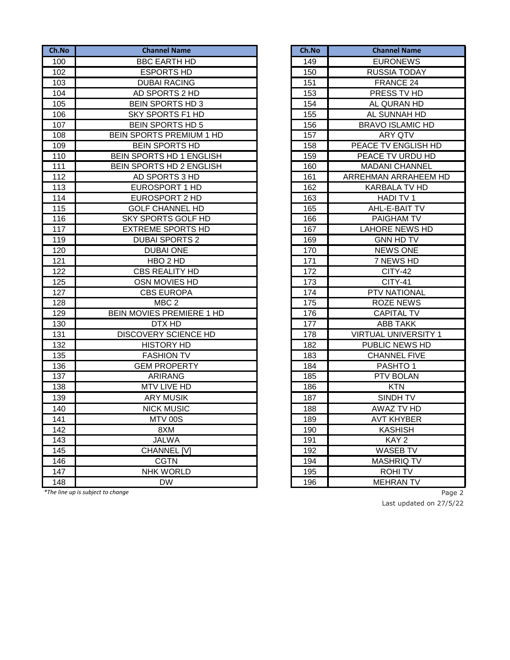| Ch.No | <b>Channel Name</b>             | Ch.No | <b>Channel Name</b>         |
|-------|---------------------------------|-------|-----------------------------|
| 100   | <b>BBC EARTH HD</b>             | 149   | <b>EURONEWS</b>             |
| 102   | <b>ESPORTS HD</b>               | 150   | <b>RUSSIA TODAY</b>         |
| 103   | <b>DUBAI RACING</b>             | 151   | FRANCE 24                   |
| 104   | AD SPORTS 2 HD                  | 153   | PRESS TV HD                 |
| 105   | <b>BEIN SPORTS HD 3</b>         | 154   | AL QURAN HD                 |
| 106   | <b>SKY SPORTS F1 HD</b>         | 155   | AL SUNNAH HD                |
| 107   | <b>BEIN SPORTS HD 5</b>         | 156   | <b>BRAVO ISLAMIC HD</b>     |
| 108   | <b>BEIN SPORTS PREMIUM 1 HD</b> | 157   | <b>ARY QTV</b>              |
| 109   | <b>BEIN SPORTS HD</b>           | 158   | PEACE TV ENGLISH HD         |
| 110   | BEIN SPORTS HD 1 ENGLISH        | 159   | PEACE TV URDU HD            |
| 111   | BEIN SPORTS HD 2 ENGLISH        | 160   | <b>MADANI CHANNEL</b>       |
| 112   | AD SPORTS 3 HD                  | 161   | ARREHMAN ARRAHEEM HD        |
| 113   | EUROSPORT 1 HD                  | 162   | KARBALA TV HD               |
| 114   | EUROSPORT 2 HD                  | 163   | HADI TV 1                   |
| 115   | <b>GOLF CHANNEL HD</b>          | 165   | AHL-E-BAIT TV               |
| 116   | SKY SPORTS GOLF HD              | 166   | PAIGHAM TV                  |
| 117   | <b>EXTREME SPORTS HD</b>        | 167   | <b>LAHORE NEWS HD</b>       |
| 119   | <b>DUBAI SPORTS 2</b>           | 169   | <b>GNN HD TV</b>            |
| 120   | <b>DUBAI ONE</b>                | 170   | <b>NEWS ONE</b>             |
| 121   | HBO <sub>2</sub> HD             | 171   | 7 NEWS HD                   |
| 122   | <b>CBS REALITY HD</b>           | 172   | <b>CITY-42</b>              |
| 125   | OSN MOVIES HD                   | 173   | <b>CITY-41</b>              |
| 127   | <b>CBS EUROPA</b>               | 174   | PTV NATIONAL                |
| 128   | MBC <sub>2</sub>                | 175   | <b>ROZE NEWS</b>            |
| 129   | BEIN MOVIES PREMIERE 1 HD       | 176   | <b>CAPITAL TV</b>           |
| 130   | DTX HD                          | 177   | <b>ABB TAKK</b>             |
| 131   | DISCOVERY SCIENCE HD            | 178   | <b>VIRTUAL UNIVERSITY 1</b> |
| 132   | <b>HISTORY HD</b>               | 182   | PUBLIC NEWS HD              |
| 135   | <b>FASHION TV</b>               | 183   | <b>CHANNEL FIVE</b>         |
| 136   | <b>GEM PROPERTY</b>             | 184   | PASHTO <sub>1</sub>         |
| 137   | <b>ARIRANG</b>                  | 185   | PTV BOLAN                   |
| 138   | <b>MTV LIVE HD</b>              | 186   | <b>KTN</b>                  |
| 139   | <b>ARY MUSIK</b>                | 187   | SINDH TV                    |
| 140   | <b>NICK MUSIC</b>               | 188   | AWAZ TV HD                  |
| 141   | MTV 00S                         | 189   | <b>AVT KHYBER</b>           |
| 142   | 8XM                             | 190   | <b>KASHISH</b>              |
| 143   | <b>JALWA</b>                    | 191   | KAY <sub>2</sub>            |
| 145   | <b>CHANNEL [V]</b>              | 192   | <b>WASEB TV</b>             |
| 146   | <b>CGTN</b>                     | 194   | <b>MASHRIQ TV</b>           |
| 147   | <b>NHK WORLD</b>                | 195   | <b>ROHITV</b>               |
| 148   | <b>DW</b>                       | 196   | <b>MEHRAN TV</b>            |

*\*The line up is subject to change* Page 2

| Ch.No | <b>Channel Name</b>         |
|-------|-----------------------------|
| 149   | <b>EURONEWS</b>             |
| 150   | <b>RUSSIA TODAY</b>         |
| 151   | FRANCE 24                   |
| 153   | PRESS TV HD                 |
| 154   | AL QURAN HD                 |
| 155   | AL SUNNAH HD                |
| 156   | <b>BRAVO ISLAMIC HD</b>     |
| 157   | <b>ARY QTV</b>              |
| 158   | PEACE TV ENGLISH HD         |
| 159   | PEACE TV URDU HD            |
| 160   | <b>MADANI CHANNEL</b>       |
| 161   | ARREHMAN ARRAHEEM HD        |
| 162   | <b>KARBALA TV HD</b>        |
| 163   | <b>HADI TV1</b>             |
| 165   | AHL-E-BAIT TV               |
| 166   | PAIGHAM TV                  |
| 167   | LAHORE NEWS HD              |
| 169   | <b>GNN HD TV</b>            |
| 170   | <b>NEWS ONE</b>             |
| 171   | 7 NEWS HD                   |
| 172   | <b>CITY-42</b>              |
| 173   | $\overline{C}$ ITY-41       |
| 174   | PTV NATIONAL                |
| 175   | <b>ROZE NEWS</b>            |
| 176   | <b>CAPITAL TV</b>           |
| 177   | ABB TAKK                    |
| 178   | <b>VIRTUAL UNIVERSITY 1</b> |
| 182   | PUBLIC NEWS HD              |
| 183   | <b>CHANNEL FIVE</b>         |
| 184   | PASHTO 1                    |
| 185   | PTV BOLAN                   |
| 186   | <b>KTN</b>                  |
| 187   | SINDH TV                    |
| 188   | <b>AWAZ TV HD</b>           |
| 189   | <b>AVT KHYBER</b>           |
| 190   | KASHISH                     |
| 191   | KAY 2                       |
| 192   | <b>WASEB TV</b>             |
| 194   | MASHRIQ TV                  |
| 195   | <b>ROHITV</b>               |
| 196   | <b>MEHRAN TV</b>            |

Last updated on 27/5/22